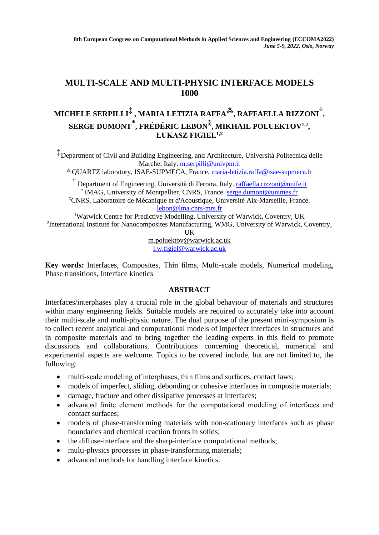## **MULTI-SCALE AND MULTI-PHYSIC INTERFACE MODELS 1000**

## **MICHELE SERPILLI‡ , MARIA LETIZIA RAFFA⁂, RAFFAELLA RIZZONI† , SERGE DUMONT \* , FRÉDÉRIC LEBON⁑ , MIKHAIL POLUEKTOV1,2 , ŁUKASZ FIGIEL1,2**

‡ Department of Civil and Building Engineering, and Architecture, Università Politecnica delle Marche, Italy. [m.serpilli@univpm.it](mailto:m.serpilli@univpm.it)

⁂ QUARTZ laboratory, ISAE-SUPMECA, France. [maria-letizia.raffa@isae-supmeca.fr](mailto:maria-letizia.raffa@isae-supmeca.fr)

†<br> Department of Engineering, Università di Ferrara, Italy. *raffaella.rizzoni@unife.it* \* IMAG, University of Montpellier, CNRS, France. [serge.dumont@unimes.fr](mailto:serge.dumont@unimes.fr) ⁑CNRS, Laboratoire de Mécanique et d'Acoustique, Université Aix-Marseille, France. [lebon@lma.cnrs-mrs.fr](mailto:lebon@lma.cnrs-mrs.fr)

<sup>1</sup>Warwick Centre for Predictive Modelling, University of Warwick, Coventry, UK <sup>2</sup>International Institute for Nanocomposites Manufacturing, WMG, University of Warwick, Coventry,

UK

m.poluektov@warwick.ac.uk [l.w.figiel@warwick.ac.uk](mailto:l.w.figiel@warwick.ac.uk)

**Key words:** Interfaces, Composites, Thin films, Multi-scale models, Numerical modeling, Phase transitions, Interface kinetics

## **ABSTRACT**

Interfaces/interphases play a crucial role in the global behaviour of materials and structures within many engineering fields. Suitable models are required to accurately take into account their multi-scale and multi-physic nature. The dual purpose of the present mini-symposium is to collect recent analytical and computational models of imperfect interfaces in structures and in composite materials and to bring together the leading experts in this field to promote discussions and collaborations. Contributions concerning theoretical, numerical and experimental aspects are welcome. Topics to be covered include, but are not limited to, the following:

- multi-scale modeling of interphases, thin films and surfaces, contact laws;
- models of imperfect, sliding, debonding or cohesive interfaces in composite materials;
- damage, fracture and other dissipative processes at interfaces;
- advanced finite element methods for the computational modeling of interfaces and contact surfaces;
- models of phase-transforming materials with non-stationary interfaces such as phase boundaries and chemical reaction fronts in solids;
- the diffuse-interface and the sharp-interface computational methods;
- multi-physics processes in phase-transforming materials;
- advanced methods for handling interface kinetics.